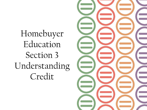Homebuyer Education Section 3 Understanding Credit

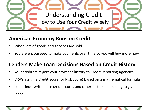

## **American Economy Runs on Credit**

- When lots of goods and services are sold
- You are encouraged to make payments over time so you will buy more now

## **Lenders Make Loan Decisions Based on Credit History**

- Your creditors report your payment history to Credit Reporting Agencies
- CRA's assign a Credit Score (or Risk Score) based on a mathematical formula
- Loan Underwriters use credit scores and other factors in deciding to give loans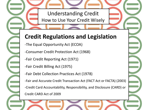Understanding Credit How to Use Your Credit Wisely

## **Credit Regulations and Legislation**

- -The Equal Opportunity Act (ECOA)
- -Consumer Credit Protection Act (1968)
- -Fair Credit Reporting Act (1971)
- -Fair Credit Billing Act (1975)
- -Fair Debt Collection Practices Act (1978)

-Fair and Accurate Credit Transaction Act (FACT Act or FACTA) (2003) -Credit Card Accountability, Responsibility, and Disclosure (CARD) or Credit CARD Act of 2009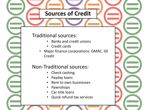## **Sources of Credit**

### Traditional sources:

- Banks and credit unions
- Credit cards
- Major finance corporations: GMAC, GE Credit

## Non-Traditional sources:

- Check cashing
- Payday loans
- Rent to own businesses
- Pawnshops
- Car title loans
- Quick refund tax services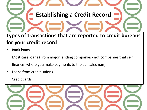

## **Types of transactions that are reported to credit bureaus for your credit record**

- Bank loans
- Most care loans (From major lending companies- not companies that self finance- where you make payments to the car salesman)
- Loans from credit unions
- Credit cards

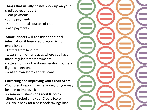#### **Things that usually do not show up on your credit bureau report**

- -Rent payments
- -Utility payments
- -Non- traditional sources of credit
- -Cash payments

#### -**Some lenders will consider additional information if hour credit record isn't established**

- Letters from landlord

-Letters from other places where you have made regular, timely payments -Letters from nontraditional lending sourcesif you can get one

-Rent-to-own store car title loans

#### **Correcting and Improving Your Credit Score**

-Your credit report may be wrong, or you may be able to improve it

- -Common mistakes on Credit Records
- -Steps to rebuilding your Credit Score
- -Ask your bank for a passbook savings loan

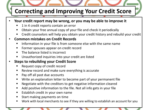# **Correcting and Improving Your Credit Score**

- **Your credit report may be wrong, or you may be able to improve it**
	- 1 in 4 credit reports contain an error
	- Obtain your free annual copy of your file and check it periodically
	- Credit counselors will help you obtain your credit history and rebuild your credit

### • **Common mistakes on Credit Records**

- Information in your file is from someone else with the same name
- **Fig. 5** Former spouses appear on credit record
- **The balance listed is incorrect**
- Unauthorized inquiries into your credit are listed

### • **Steps to rebuilding your Credit Score**

- Request copy of credit record
- **EXECTE:** Review record and make sure everything is accurate
- **Pay off all past due accounts**
- Write an explanation letter to become part of your permanent file
- **Negotiate with the creditors to get negative information cleared**
- Add positive information to the file. Not all info gets in your file
- **Establish credit in your own name**
- **Start making payments on time**
- Work with local merchants to see if they are willing to establish an account for you